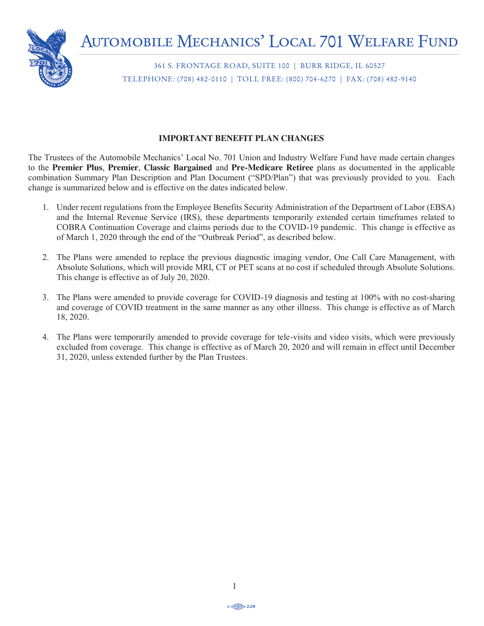

361 S. FRONTAGE ROAD, SUITE 100 | BURR RIDGE, IL 60527 TELEPHONE: (708) 482-0110 | TOLL FREE: (800) 704-6270 | FAX: (708) 482-9140 **IMPORTANT BENEFIT PLAN CHANGES**

### **IMPORTANT BENEFIT PLAN CHANGES**

The Trustees of the Automobile Mechanics' Local No. 701 Union and Industry Welfare Fund have made certain changes to the Premier Plus, Premier, Classic Bargained and Pre-Medicare Retiree plans as documented in the applicable combination Summary Plan Description and Plan Document ("SPD/Plan") that was previously provided to you. Each change is summarized below and is effective on the dates indicated below. 2. The Plans were amended to replace the previous diagnostic imaging vendor, One Call Care Management, with

- and the Internal Revenue Service (IRS), these departments temporarily extended certain timeframes related to  $DBRA$  Continuation Coverage and claims periods due to the COVID-19 pandemic. This change March 1, 2020 through the end of the "Outbreak Period", as described 1. Under recent regulations from the Employee Benefits Security Administration of the Department of Labor (EBSA) and the internal Revenue Service (IRS), these departments temporarily extended certain timerialnes related to<br>COBRA Continuation Coverage and claims periods due to the COVID-19 pandemic. This change is effective as EXA COMMUTATION COVETAGE and Claims perform the low the COVID-19 pandemic. This change is  $\frac{1}{2020}$  through the one of the "Outhroak Doviet", as described below. of March 1, 2020 through the end of the "Outbreak Period", as described below. and coverage of COVID treatment in the same manner as any other illness. This change is effective as of March
- 2. The Plans were amended to replace the previous diagnostic imaging vendor, One Call Care Management, with The plan has contracted as only  $20$ ,  $2020$ . Absolute Solutions, which will provide MRI, CT or PET scans at no cost if scheduled through Absolute Solutions. This change is effective as of July 20, 2020. excluded from coverage. This change is effective as of March 20, 2020 and will remain in effect until December

to schedule and approximately an approximately an approximately and or hearing aid. The aid of hearing aid  $\alpha$ 

- 3. The Plans were amended to provide coverage for COVID-19 diagnosis and testing at 100% with no cost-sharing and coverage of COVID treatment in the same manner as any other illness. This change is effective as of March groups paid for the plan year ending  $\frac{1}{2}$  , 2020. increased your hearing aid benefit. **Effective 1/1/2020, the hearing benefit was increased**  18, 2020.
- nded to provide coverage for tele-visits an the value of plan assets, and plan assets, and the plan assets of the plan, was  $161/91,004$  as of the plan, was of the plan, was of the plan, was of the plan, was of the plan, was of the plan, was of the plan, was of the **from \$600 every three years on exams, testing and devices to \$2,500 every three years**  4. The Plans were temporarily amended to provide coverage for tele-visits and video visits, which were previously  $31, 2020$ , unless extended further by the Plan Trustees. excluded from coverage. This change is effective as of March 20, 2020 and will remain in effect until December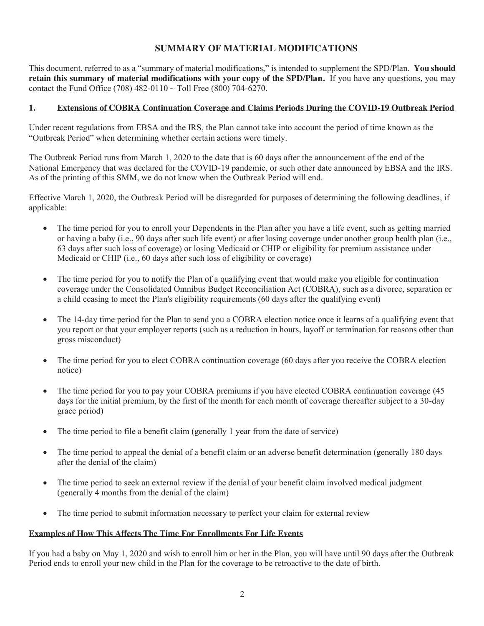### **SUMMARY OF MATERIAL MODIFICATIONS**

This document, referred to as a "summary of material modifications," is intended to supplement the SPD/Plan. **You should retain this summary of material modifications with your copy of the SPD/Plan.** If you have any questions, you may contact the Fund Office (708) 482-0110  $\sim$  Toll Free (800) 704-6270.

#### **1. Extensions of COBRA Continuation Coverage and Claims Periods During the COVID-19 Outbreak Period**

Under recent regulations from EBSA and the IRS, the Plan cannot take into account the period of time known as the "Outbreak Period" when determining whether certain actions were timely.

The Outbreak Period runs from March 1, 2020 to the date that is 60 days after the announcement of the end of the National Emergency that was declared for the COVID-19 pandemic, or such other date announced by EBSA and the IRS. As of the printing of this SMM, we do not know when the Outbreak Period will end.

Effective March 1, 2020, the Outbreak Period will be disregarded for purposes of determining the following deadlines, if applicable:

- The time period for you to enroll your Dependents in the Plan after you have a life event, such as getting married or having a baby (i.e., 90 days after such life event) or after losing coverage under another group health plan (i.e., 63 days after such loss of coverage) or losing Medicaid or CHIP or eligibility for premium assistance under Medicaid or CHIP (i.e., 60 days after such loss of eligibility or coverage)
- The time period for you to notify the Plan of a qualifying event that would make you eligible for continuation coverage under the Consolidated Omnibus Budget Reconciliation Act (COBRA), such as a divorce, separation or a child ceasing to meet the Plan's eligibility requirements (60 days after the qualifying event)
- The 14-day time period for the Plan to send you a COBRA election notice once it learns of a qualifying event that you report or that your employer reports (such as a reduction in hours, layoff or termination for reasons other than gross misconduct)
- The time period for you to elect COBRA continuation coverage (60 days after you receive the COBRA election notice)
- The time period for you to pay your COBRA premiums if you have elected COBRA continuation coverage (45 days for the initial premium, by the first of the month for each month of coverage thereafter subject to a 30-day grace period)
- The time period to file a benefit claim (generally 1 year from the date of service)
- The time period to appeal the denial of a benefit claim or an adverse benefit determination (generally 180 days after the denial of the claim)
- The time period to seek an external review if the denial of your benefit claim involved medical judgment (generally 4 months from the denial of the claim)
- The time period to submit information necessary to perfect your claim for external review

#### **Examples of How This Affects The Time For Enrollments For Life Events**

If you had a baby on May 1, 2020 and wish to enroll him or her in the Plan, you will have until 90 days after the Outbreak Period ends to enroll your new child in the Plan for the coverage to be retroactive to the date of birth.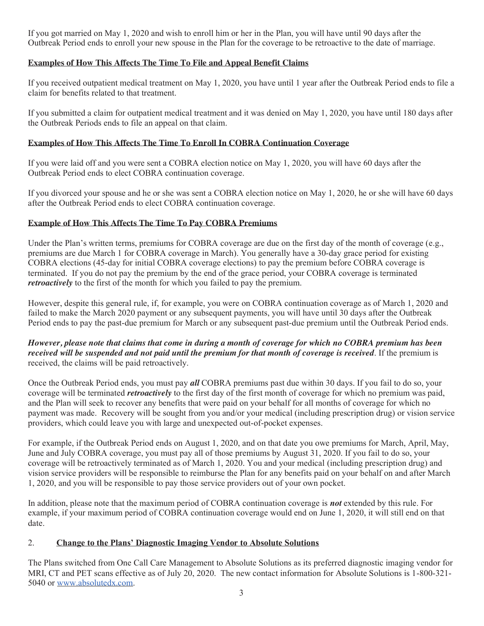If you got married on May 1, 2020 and wish to enroll him or her in the Plan, you will have until 90 days after the Outbreak Period ends to enroll your new spouse in the Plan for the coverage to be retroactive to the date of marriage.

## **Examples of How This Affects The Time To File and Appeal Benefit Claims Examples of How This Affects The Time To File and Appeal Benefit Claims**

If you received outpatient medical treatment on May 1, 2020, you have until 1 year after the Outbreak Period ends to file a claim for benefits related to that treatment. claim for benefits related to that treatment.

If you submitted a claim for outpatient medical treatment and it was denied on May 1, 2020, you have until 180 days after the Outbreak Periods ends to file an appeal on that claim. the Outbreak Periods ends to file an appeal on that claim.

# **Examples of How This Affects The Time To Enroll In COBRA Continuation Coverage Examples of How This Affects The Time To Enroll In COBRA Continuation Coverage**

If you were laid off and you were sent a COBRA election notice on May 1, 2020, you will have 60 days after the If you were laid off and you were sent a COBRA election notice on May 1, 2020, you will have 60 days after the Outbreak Period ends to elect COBRA continuation coverage. Outbreak Period ends to elect COBRA continuation coverage.

If you divorced your spouse and he or she was sent a COBRA election notice on May 1, 2020, he or she will have 60 days after the Outbreak Period ends to elect COBRA continuation coverage. after the Outbreak Period ends to elect COBRA continuation coverage.

## **Example of How This Affects The Time To Pay COBRA Premiums Example of How This Affects The Time To Pay COBRA Premiums**

Under the Plan's written terms, premiums for COBRA coverage are due on the first day of the month of coverage (e.g., premiums are due March 1 for COBRA coverage in March). You generally have a 30-day grace period for existing premiums are due March 1 for COBRA coverage in March). You generally have a 30-day grace period for existing COBRA elections (45-day for initial COBRA coverage elections) to pay the premium before COBRA coverage is COBRA elections (45-day for initial COBRA coverage elections) to pay the premium before COBRA coverage is terminated. If you do not pay the premium by the end of the grace period, your COBRA coverage is terminated terminated. If you do not pay the premium by the end of the grace period, your COBRA coverage is terminated *retroactively* to the first of the month for which you failed to pay the premium. *retroactively* to the first of the month for which you failed to pay the premium.

However, despite this general rule, if, for example, you were on COBRA continuation coverage as of March 1, 2020 and failed to make the March 2020 payment or any subsequent payments, you will have until 30 days after the Outbreak Period ends to pay the past-due premium for March or any subsequent payments, you will have differ 50 days after the Outbreak

### .<br>However, please note that claims that come in during a month of coverage for which no COBRA premium has been However, please hole that claims that come in auring a month of coverage for which no CODKA premium has been<br>received will be suspended and not paid until the premium for that month of coverage is received. If the premium received, the claims will be paid retroactively. received, the claims will be paid retroactively.

Once the Outbreak Period ends, you must pay *all* COBRA premiums past due within 30 days. If you fail to do so, your coverage will be terminated *retroactively* to the first day of the first month of coverage for which no premium was paid, and the Plan will seek to recover any benefits that were paid on your behalf for all months of coverage for which no and the Fian win seek to recover any benefits that were paid on your behan for an months of coverage for which ho<br>payment was made. Recovery will be sought from you and/or your medical (including prescription drug) or visi providers, which could leave you with large and unexpected out-of-pocket expenses. providers, which could leave you with large and unexpected out-of-pocket expenses.

For example, if the Outbreak Period ends on August 1, 2020, and on that date you owe premiums for March, April, May, June and July COBRA coverage, you must pay all of those premiums by August 31, 2020. If you fail to do so, your June and July COBRA coverage, you must pay all of those premiums by August 31, 2020. If you fail to do so, your coverage will be retroactively terminated as of March 1, 2020. You and your medical (including prescription drug) and vision service providers will be responsible to reimburse the Plan for any benefits paid on your behalf on and after March 1, 2020, and you will be responsible to pay those service providers out of your own pocket. 1, 2020, and you will be responsible to pay those service providers out of your own pocket.

In addition, please note that the maximum period of COBRA continuation coverage is **not** extended by this rule. For example, if your maximum period of COBRA continuation coverage would end on June 1, 2020, it will still end on that date. date.

# 2. **Change to the Plans' Diagnostic Imaging Vendor to Absolute Solutions** 2. **Change to the Plans' Diagnostic Imaging Vendor to Absolute Solutions**

The Plans switched from One Call Care Management to Absolute Solutions as its preferred diagnostic imaging vendor for The Frans switched from One Can Care Management to Absolute Solutions as its preferred diagnostic maging vendor for<br>MRI, CT and PET scans effective as of July 20, 2020. The new contact information for Absolute Solutions is 5040 or www.absolutedx.com. 5040 or www.absolutedx.com.